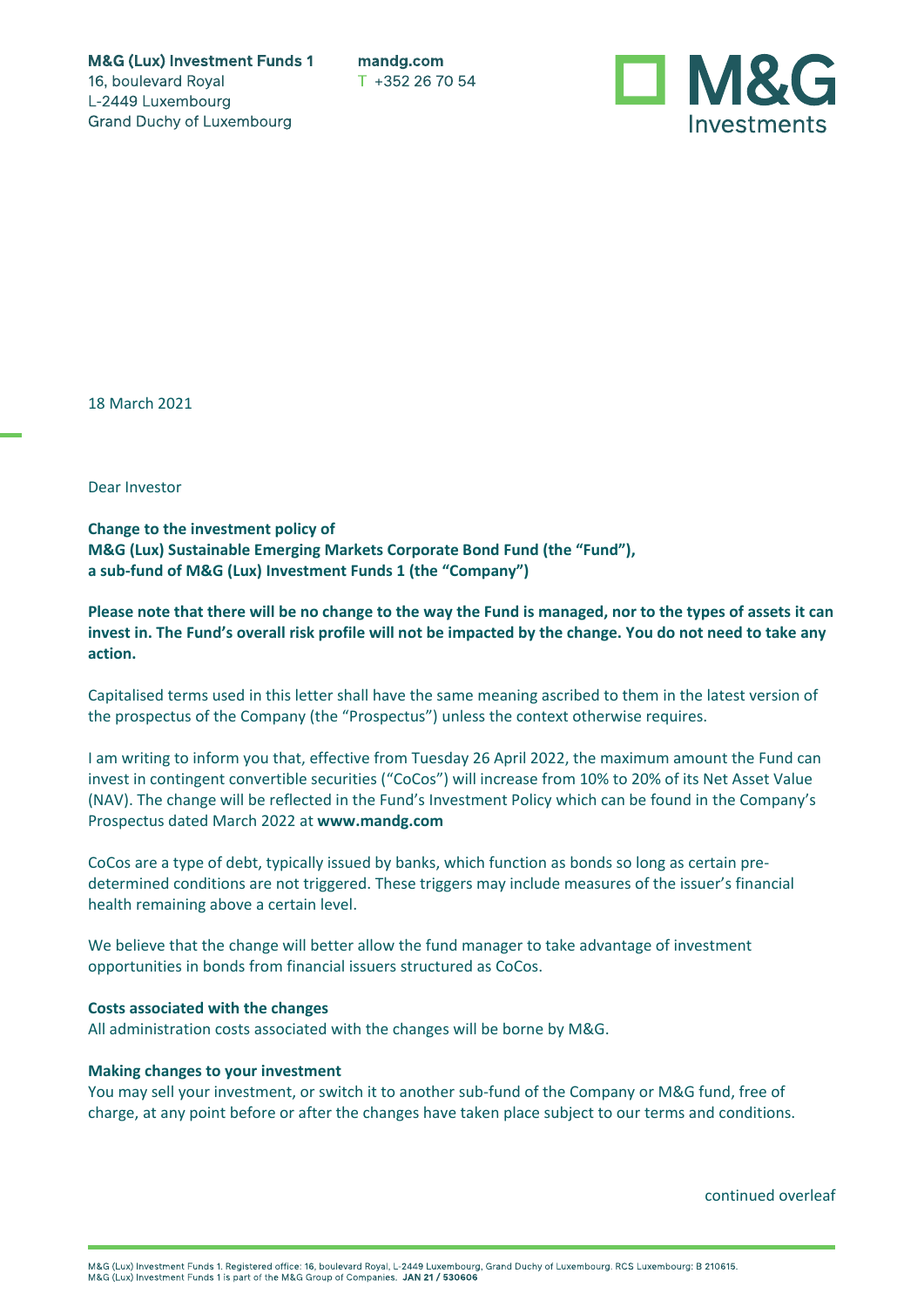**M&G (Lux) Investment Funds 1** 16, boulevard Royal L-2449 Luxembourg **Grand Duchy of Luxembourg** 

mandg.com T +352 26 70 54



18 March 2021

Dear Investor

**Change to the investment policy of M&G (Lux) Sustainable Emerging Markets Corporate Bond Fund (the "Fund"), a sub-fund of M&G (Lux) Investment Funds 1 (the "Company")**

**Please note that there will be no change to the way the Fund is managed, nor to the types of assets it can invest in. The Fund's overall risk profile will not be impacted by the change. You do not need to take any action.**

Capitalised terms used in this letter shall have the same meaning ascribed to them in the latest version of the prospectus of the Company (the "Prospectus") unless the context otherwise requires.

I am writing to inform you that, effective from Tuesday 26 April 2022, the maximum amount the Fund can invest in contingent convertible securities ("CoCos") will increase from 10% to 20% of its Net Asset Value (NAV). The change will be reflected in the Fund's Investment Policy which can be found in the Company's Prospectus dated March 2022 at **www.mandg.com**

CoCos are a type of debt, typically issued by banks, which function as bonds so long as certain predetermined conditions are not triggered. These triggers may include measures of the issuer's financial health remaining above a certain level.

We believe that the change will better allow the fund manager to take advantage of investment opportunities in bonds from financial issuers structured as CoCos.

## **Costs associated with the changes**

All administration costs associated with the changes will be borne by M&G.

## **Making changes to your investment**

You may sell your investment, or switch it to another sub-fund of the Company or M&G fund, free of charge, at any point before or after the changes have taken place subject to our terms and conditions.

continued overleaf

M&G (Lux) Investment Funds 1. Registered office: 16, boulevard Royal, L-2449 Luxembourg, Grand Duchy of Luxembourg. RCS Luxembourg: B 210615.<br>M&G (Lux) Investment Funds 1 is part of the M&G Group of Companies. JAN 21 / 530